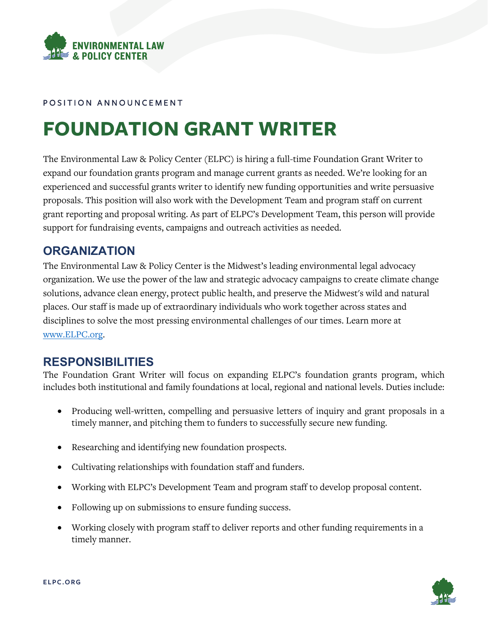

#### POSITION ANNOUNCEMENT

# **FOUNDATION GRANT WRITER**

The Environmental Law & Policy Center (ELPC) is hiring a full-time Foundation Grant Writer to expand our foundation grants program and manage current grants as needed. We're looking for an experienced and successful grants writer to identify new funding opportunities and write persuasive proposals. This position will also work with the Development Team and program staff on current grant reporting and proposal writing. As part of ELPC's Development Team, this person will provide support for fundraising events, campaigns and outreach activities as needed.

#### **ORGANIZATION**

The Environmental Law & Policy Center is the Midwest's leading environmental legal advocacy organization. We use the power of the law and strategic advocacy campaigns to create climate change solutions, advance clean energy, protect public health, and preserve the Midwest's wild and natural places. Our staff is made up of extraordinary individuals who work together across states and disciplines to solve the most pressing environmental challenges of our times. Learn more at [www.ELPC.org.](http://www.elpc.org/)

# **RESPONSIBILITIES**

The Foundation Grant Writer will focus on expanding ELPC's foundation grants program, which includes both institutional and family foundations at local, regional and national levels. Duties include:

- Producing well-written, compelling and persuasive letters of inquiry and grant proposals in a timely manner, and pitching them to funders to successfully secure new funding.
- Researching and identifying new foundation prospects.
- Cultivating relationships with foundation staff and funders.
- Working with ELPC's Development Team and program staff to develop proposal content.
- Following up on submissions to ensure funding success.
- Working closely with program staff to deliver reports and other funding requirements in a timely manner.